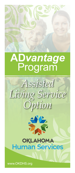

# **AD***vantage* Program



### **OKLAHOMA Human Services**

www.OKDHS.org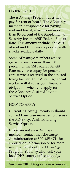#### LIVING COSTS

The AD*vantage* Program does not pay for rent or board. The AD*vantage* member is responsible for paying rent and board, which is no more than 90 percent of the Supplemental Security Income (SSI) Federal Benefit Rate. This amount includes the cost of rent and three meals per day with snacks available daily.

Some AD*vantage* members whose gross income is more than 150 percent of the SSI Federal Benefit Rate may have copay for personal care services received in the assisted living facility. Your AD*vantage* social worker will discuss your financial obligations when you apply for the AD*vantage* Assisted Living Service Option.

#### HOW TO APPLY

Current AD*vantage* members should contact their case manager to discuss the AD*vantage* Assisted Living Service Option.

If you are not an AD*vantage* member, contact the AD*vantage* Administration at 800-435-4711 for application information or for more information about the AD*vantage* Program. You may also visit your local DHS county office to apply.

Visit www.OKDHS.org for more information.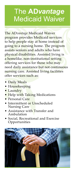## The **AD***vantage* **Medicaid Waiver**

The AD*vantage* Medicaid Waiver program provides Medicaid services to help people stay at home instead of going to a nursing home. The program assists seniors and adults who have physical disabilities. Assisted living is a homelike, non-institutional setting offering services for those who may need daily assistance but not continuous nursing care. Assisted living facilities offer services such as:

- Daily Meals
- Housekeeping
- Laundry
- Help with Taking Medications
- Personal Care
- Intermittent or Unscheduled Nursing Care
- Assistance with Transfer and Ambulation
- Social, Recreational and Exercise Opportunities

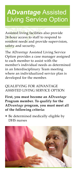### **AD***vantage* Assisted Living Service Option

Assisted living facilities also provide 24-hour access to staff to respond to resident needs and provide supervision, safety and security.

The AD*vantage* Assisted Living Service Option provides a case manager assigned to each member to assist with the member's individual needs as determined in an Interdisciplinary Team meeting where an individualized service plan is developed for the member.

#### QUALIFYING FOR ADVANTAGE ASSISTED LIVING SERVICE OPTION

**First, you must become an AD***vantage* **Program member. To qualify for the AD***vantage* **program, you must meet all of the following criteria:**

• Be determined medically eligible by DHS nurses

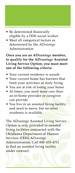- Be determined financially eligible by a DHS social worker
- Meet all categorical factors as determined by the AD*vantage* Administration

**Once you are an AD***vantage* **member, to qualify for the AD***vantage* **Assisted Living Service Option, you must meet one of the following criteria:**

- Your current residence is unsafe
- Your current home has barriers that limit your activities of daily living
- You are at risk of losing your home
- At times, you need more care than an in-home provider or caregiver can provide
- You live in an assisted living facility and need to move, but no other residence is available

The AD*vantage* Assisted Living Service Option is only provided in assisted living facilities contracted with the Oklahoma Department of Human Services (DHS) AD*vantage* Administration. Call 800-435-4711 to find an assisted living facility under contract.